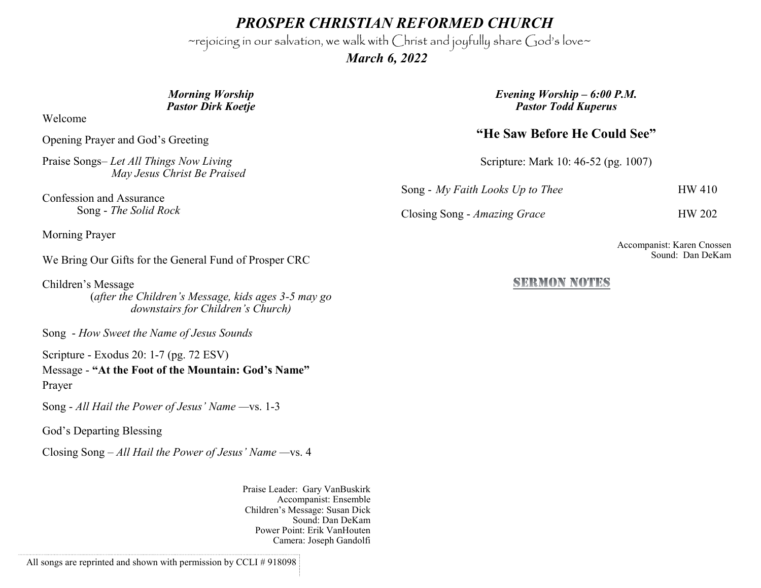*PROSPER CHRISTIAN REFORMED CHURCH*

~rejoicing in our salvation, we walk with Christ and joyfully share God's love~

 *March 6, 2022*

### *Morning Worship Pastor Dirk Koetje*

Welcome

Opening Prayer and God's Greeting

Praise Songs– *Let All Things Now Living May Jesus Christ Be Praised*

Confession and Assurance Song - *The Solid Rock*

Morning Prayer

We Bring Our Gifts for the General Fund of Prosper CRC

Children's Message (*after the Children's Message, kids ages 3-5 may go downstairs for Children's Church)*

Song - *How Sweet the Name of Jesus Sounds*

Scripture - Exodus 20: 1-7 (pg. 72 ESV)

Message - **"At the Foot of the Mountain: God's Name"** Prayer

Song - *All Hail the Power of Jesus' Name —*vs. 1-3

God's Departing Blessing

Closing Song – *All Hail the Power of Jesus' Name —*vs. 4

Praise Leader: Gary VanBuskirk Accompanist: Ensemble Children's Message: Susan Dick Sound: Dan DeKam Power Point: Erik VanHouten Camera: Joseph Gandolfi

All songs are reprinted and shown with permission by CCLI # 918098

*Evening Worship – 6:00 P.M. Pastor Todd Kuperus*

## **"He Saw Before He Could See"**

Scripture: Mark 10: 46-52 (pg. 1007)

Song - *My Faith Looks Up to Thee* HW 410

Closing Song - *Amazing Grace* HW 202

Accompanist: Karen Cnossen Sound: Dan DeKam

### SEEMON NOTES